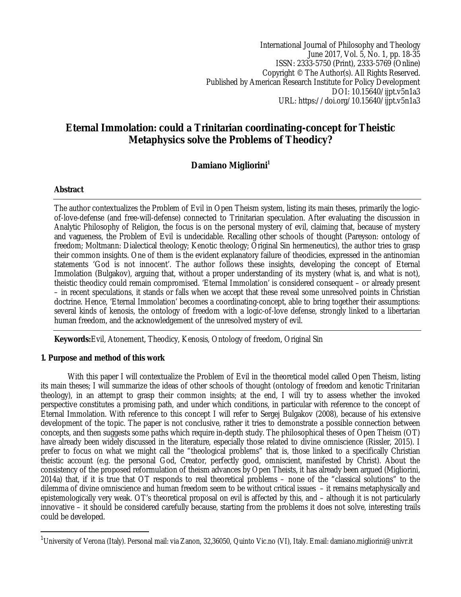International Journal of Philosophy and Theology June 2017, Vol. 5, No. 1, pp. 18-35 ISSN: 2333-5750 (Print), 2333-5769 (Online) Copyright © The Author(s). All Rights Reserved. Published by American Research Institute for Policy Development DOI: 10.15640/ijpt.v5n1a3 URL: https://doi.org/10.15640/ijpt.v5n1a3

# **Eternal Immolation: could a Trinitarian coordinating-concept for Theistic Metaphysics solve the Problems of Theodicy?**

## **Damiano Migliorini<sup>1</sup>**

## **Abstract**

 $\overline{a}$ 

The author contextualizes the Problem of Evil in Open Theism system, listing its main theses, primarily the logicof-love-defense (and free-will-defense) connected to Trinitarian speculation. After evaluating the discussion in Analytic Philosophy of Religion, the focus is on the personal mystery of evil, claiming that, because of mystery and vagueness, the Problem of Evil is undecidable. Recalling other schools of thought (Pareyson: ontology of freedom; Moltmann: Dialectical theology; Kenotic theology; Original Sin hermeneutics), the author tries to grasp their common insights. One of them is the evident explanatory failure of theodicies, expressed in the antinomian statements 'God is not innocent'. The author follows these insights, developing the concept of Eternal Immolation (Bulgakov), arguing that, without a proper understanding of its mystery (what is, and what is not), theistic theodicy could remain compromised. 'Eternal Immolation' is considered consequent – or already present – in recent speculations, it stands or falls when we accept that these reveal some unresolved points in Christian doctrine. Hence, 'Eternal Immolation' becomes a coordinating-concept, able to bring together their assumptions: several kinds of kenosis, the ontology of freedom with a logic-of-love defense, strongly linked to a libertarian human freedom, and the acknowledgement of the unresolved mystery of evil.

**Keywords:**Evil, Atonement, Theodicy, Kenosis, Ontology of freedom, Original Sin

## **1. Purpose and method of this work**

With this paper I will contextualize the Problem of Evil in the theoretical model called Open Theism, listing its main theses; I will summarize the ideas of other schools of thought (ontology of freedom and kenotic Trinitarian theology), in an attempt to grasp their common insights; at the end, I will try to assess whether the invoked perspective constitutes a promising path, and under which conditions, in particular with reference to the concept of Eternal Immolation. With reference to this concept I will refer to Sergej Bulgakov (2008), because of his extensive development of the topic. The paper is not conclusive, rather it tries to demonstrate a possible connection between concepts, and then suggests some paths which require in-depth study. The philosophical theses of Open Theism (OT) have already been widely discussed in the literature, especially those related to divine omniscience (Rissler, 2015). I prefer to focus on what we might call the "theological problems" that is, those linked to a specifically Christian theistic account (e.g. the personal God, Creator, perfectly good, omniscient, manifested by Christ). About the consistency of the proposed reformulation of theism advances by Open Theists, it has already been argued (Migliorini, 2014a) that, if it is true that OT responds to real theoretical problems – none of the "classical solutions" to the dilemma of divine omniscience and human freedom seem to be without critical issues – it remains metaphysically and epistemologically very weak. OT's theoretical proposal on evil is affected by this, and – although it is not particularly innovative – it should be considered carefully because, starting from the problems it does not solve, interesting trails could be developed.

 $^1$ University of Verona (Italy). Personal mail: via Zanon, 32,36050, Quinto Vic.no (VI), Italy. Email: damiano.migliorini@univr.it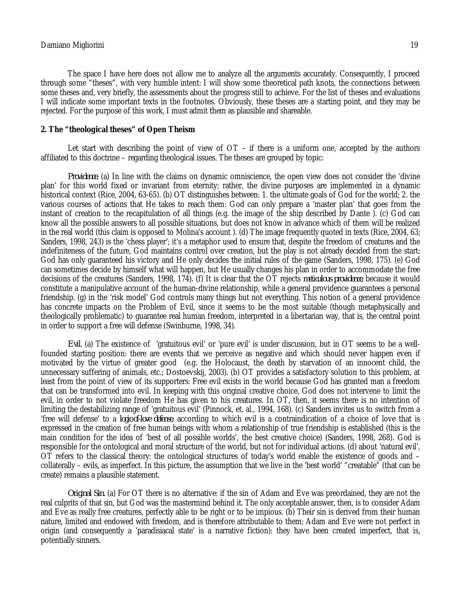The space I have here does not allow me to analyze all the arguments accurately. Consequently, I proceed through some "theses", with very humble intent: I will show some theoretical path knots, the connections between some theses and, very briefly, the assessments about the progress still to achieve. For the list of theses and evaluations I will indicate some important texts in the footnotes. Obviously, these theses are a starting point, and they may be rejected. For the purpose of this work, I must admit them as plausible and shareable.

## **2. The "theological theses" of Open Theism**

Let start with describing the point of view of  $OT -$  if there is a uniform one, accepted by the authors affiliated to this doctrine – regarding theological issues. The theses are grouped by topic:

*Providence.* (a) In line with the claims on dynamic omniscience, the open view does not consider the 'divine plan' for this world fixed or invariant from eternity; rather, the divine purposes are implemented in a dynamic historical context (Rice, 2004, 63-65). (b) OT distinguishes between: 1. the ultimate goals of God for the world; 2. the various courses of actions that He takes to reach them: God can only prepare a 'master plan' that goes from the instant of creation to the recapitulation of all things (e.g. the image of the ship described by Dante ). (c) God can know all the possible answers to all possible situations, but does not know in advance which of them will be realized in the real world (this claim is opposed to Molina's account ). (d) The image frequently quoted in texts (Rice, 2004, 63; Sanders, 1998, 243) is the 'chess player'; it's a metaphor used to ensure that, despite the freedom of creatures and the indefiniteness of the future, God maintains control over creation, but the play is not already decided from the start: God has only guaranteed his victory and He only decides the initial rules of the game (Sanders, 1998, 175). (e) God can sometimes decide by himself what will happen, but He usually changes his plan in order to accommodate the free decisions of the creatures (Sanders, 1998, 174). (f) It is clear that the OT rejects *meticulous providence*, because it would constitute a manipulative account of the human-divine relationship, while a general providence guarantees a personal friendship. (g) in the 'risk model' God controls many things but not everything. This notion of a general providence has concrete impacts on the Problem of Evil, since it seems to be the most suitable (though metaphysically and theologically problematic) to guarantee real human freedom, interpreted in a libertarian way, that is, the central point in order to support a free will defense (Swinburne, 1998, 34).

*Evil.* (a) The existence of 'gratuitous evil' or 'pure evil' is under discussion, but in OT seems to be a wellfounded starting position: there are events that we perceive as negative and which should never happen even if motivated by the virtue of greater good (e.g. the Holocaust, the death by starvation of an innocent child, the unnecessary suffering of animals, etc.; Dostoevskij, 2003). (b) OT provides a satisfactory solution to this problem, at least from the point of view of its supporters: Free evil exists in the world because God has granted man a freedom that can be transformed into evil. In keeping with this original creative choice, God does not intervene to limit the evil, in order to not violate freedom He has given to his creatures. In OT, then, it seems there is no intention of limiting the destabilizing range of 'gratuitous evil' (Pinnock, et. al., 1994, 168). (c) Sanders invites us to switch from a 'free will defense' to a *logic-of-love defense*, according to which evil is a contraindication of a choice of love that is expressed in the creation of free human beings with whom a relationship of true friendship is established (this is the main condition for the idea of 'best of all possible worlds', the best creative choice) (Sanders, 1998, 268). God is responsible for the ontological and moral structure of the world, but not for individual actions. (d) about 'natural evil', OT refers to the classical theory: the ontological structures of today's world enable the existence of goods and – collaterally – evils, as imperfect. In this picture, the assumption that we live in the 'best world' "creatable" (that can be create) remains a plausible statement.

*Original Sin.* (a) For OT there is no alternative: if the sin of Adam and Eve was preordained, they are not the real culprits of that sin, but God was the mastermind behind it. The only acceptable answer, then, is to consider Adam and Eve as really free creatures, perfectly able to be right or to be impious. (b) Their sin is derived from their human nature, limited and endowed with freedom, and is therefore attributable to them; Adam and Eve were not perfect in origin (and consequently a 'paradisiacal state' is a narrative fiction): they have been created imperfect, that is, potentially sinners.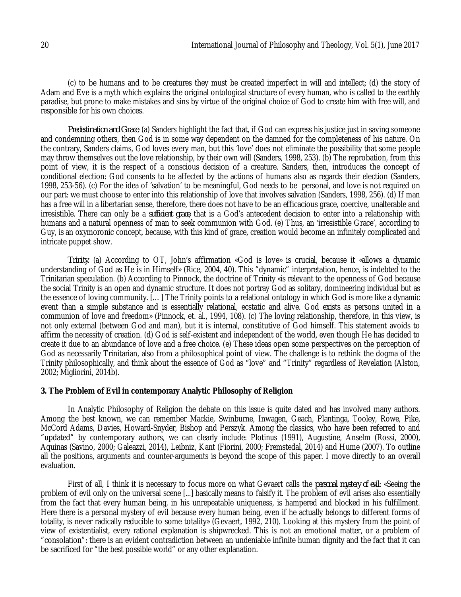(c) to be humans and to be creatures they must be created imperfect in will and intellect; (d) the story of Adam and Eve is a myth which explains the original ontological structure of every human, who is called to the earthly paradise, but prone to make mistakes and sins by virtue of the original choice of God to create him with free will, and responsible for his own choices.

*Predestination and Grace*. (a) Sanders highlight the fact that, if God can express his justice just in saving someone and condemning others, then God is in some way dependent on the damned for the completeness of his nature. On the contrary, Sanders claims, God loves every man, but this 'love' does not eliminate the possibility that some people may throw themselves out the love relationship, by their own will (Sanders, 1998, 253). (b) The reprobation, from this point of view, it is the respect of a conscious decision of a creature. Sanders, then, introduces the concept of conditional election: God consents to be affected by the actions of humans also as regards their election (Sanders, 1998, 253-56). (c) For the idea of 'salvation' to be meaningful, God needs to be personal, and love is not required on our part: we must choose to enter into this relationship of love that involves salvation (Sanders, 1998, 256). (d) If man has a free will in a libertarian sense, therefore, there does not have to be an efficacious grace, coercive, unalterable and irresistible. There can only be a *sufficient grace*, that is a God's antecedent decision to enter into a relationship with humans and a natural openness of man to seek communion with God. (e) Thus, an 'irresistible Grace', according to Guy, is an oxymoronic concept, because, with this kind of grace, creation would become an infinitely complicated and intricate puppet show.

*Trinity*. (a) According to OT, John's affirmation «God is love» is crucial, because it «allows a dynamic understanding of God as He is in Himself» (Rice, 2004, 40). This "dynamic" interpretation, hence, is indebted to the Trinitarian speculation. (b) According to Pinnock, the doctrine of Trinity «is relevant to the openness of God because the social Trinity is an open and dynamic structure. It does not portray God as solitary, domineering individual but as the essence of loving community. […] The Trinity points to a relational ontology in which God is more like a dynamic event than a simple substance and is essentially relational, ecstatic and alive. God exists as persons united in a communion of love and freedom» (Pinnock, et. al., 1994, 108). (c) The loving relationship, therefore, in this view, is not only external (between God and man), but it is internal, constitutive of God himself. This statement avoids to affirm the necessity of creation. (d) God is self-existent and independent of the world, even though He has decided to create it due to an abundance of love and a free choice. (e) These ideas open some perspectives on the perception of God as necessarily Trinitarian, also from a philosophical point of view. The challenge is to rethink the dogma of the Trinity philosophically, and think about the essence of God as "love" and "Trinity" regardless of Revelation (Alston, 2002; Migliorini, 2014b).

## **3. The Problem of Evil in contemporary Analytic Philosophy of Religion**

In Analytic Philosophy of Religion the debate on this issue is quite dated and has involved many authors. Among the best known, we can remember Mackie, Swinburne, Inwagen, Geach, Plantinga, Tooley, Rowe, Pike, McCord Adams, Davies, Howard-Snyder, Bishop and Perszyk. Among the classics, who have been referred to and "updated" by contemporary authors, we can clearly include: Plotinus (1991), Augustine, Anselm (Rossi, 2000), Aquinas (Savino, 2000; Galeazzi, 2014), Leibniz, Kant (Fiorini, 2000; Fremstedal, 2014) and Hume (2007). To outline all the positions, arguments and counter-arguments is beyond the scope of this paper. I move directly to an overall evaluation.

First of all, I think it is necessary to focus more on what Gevaert calls the *personal mystery of evil*: «Seeing the problem of evil only on the universal scene [...] basically means to falsify it. The problem of evil arises also essentially from the fact that every human being, in his unrepeatable uniqueness, is hampered and blocked in his fulfillment. Here there is a personal mystery of evil because every human being, even if he actually belongs to different forms of totality, is never radically reducible to some totality» (Gevaert, 1992, 210). Looking at this mystery from the point of view of existentialist, every rational explanation is shipwrecked. This is not an emotional matter, or a problem of "consolation": there is an evident contradiction between an undeniable infinite human dignity and the fact that it can be sacrificed for "the best possible world" or any other explanation.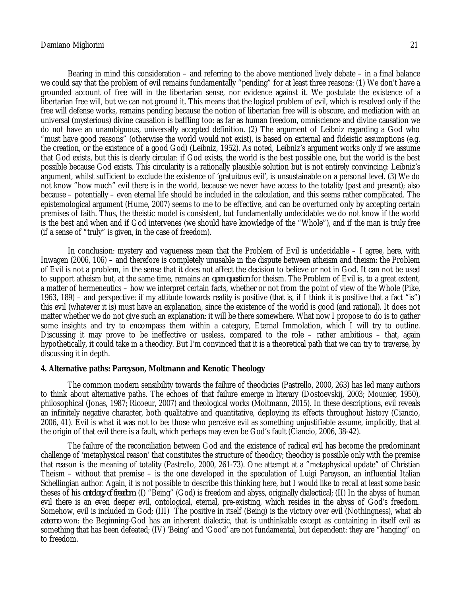Bearing in mind this consideration – and referring to the above mentioned lively debate – in a final balance we could say that the problem of evil remains fundamentally "pending" for at least three reasons: (1) We don't have a grounded account of free will in the libertarian sense, nor evidence against it. We postulate the existence of a libertarian free will, but we can not ground it. This means that the logical problem of evil, which is resolved only if the free will defense works, remains pending because the notion of libertarian free will is obscure, and mediation with an universal (mysterious) divine causation is baffling too: as far as human freedom, omniscience and divine causation we do not have an unambiguous, universally accepted definition. (2) The argument of Leibniz regarding a God who "must have good reasons" (otherwise the world would not exist), is based on external and fideistic assumptions (e.g. the creation, or the existence of a good God) (Leibniz, 1952). As noted, Leibniz's argument works only if we assume that God exists, but this is clearly circular: if God exists, the world is the best possible one, but the world is the best possible because God exists. This circularity is a rationally plausible solution but is not entirely convincing: Leibniz's argument, whilst sufficient to exclude the existence of 'gratuitous evil', is unsustainable on a personal level. (3) We do not know "how much" evil there is in the world, because we never have access to the totality (past and present); also because – potentially – even eternal life should be included in the calculation, and this seems rather complicated. The epistemological argument (Hume, 2007) seems to me to be effective, and can be overturned only by accepting certain premises of faith. Thus, the theistic model is consistent, but fundamentally undecidable: we do not know if the world is the best and when and if God intervenes (we should have knowledge of the "Whole"), and if the man is truly free (if a sense of "truly" is given, in the case of freedom).

In conclusion: mystery and vagueness mean that the Problem of Evil is undecidable – I agree, here, with Inwagen (2006, 106) – and therefore is completely unusable in the dispute between atheism and theism: the Problem of Evil is not a problem, in the sense that it does not affect the decision to believe or not in God. It can not be used to support atheism but, at the same time, remains an *open question* for theism. The Problem of Evil is, to a great extent, a matter of hermeneutics – how we interpret certain facts, whether or not from the point of view of the Whole (Pike, 1963, 189) – and perspective: if my attitude towards reality is positive (that is, if I think it is positive that a fact "is") this evil (whatever it is) must have an explanation, since the existence of the world is good (and rational). It does not matter whether we do not give such an explanation: it will be there somewhere. What now I propose to do is to gather some insights and try to encompass them within a category, Eternal Immolation, which I will try to outline. Discussing it may prove to be ineffective or useless, compared to the role – rather ambitious – that, again hypothetically, it could take in a theodicy. But I'm convinced that it is a theoretical path that we can try to traverse, by discussing it in depth.

## **4. Alternative paths: Pareyson, Moltmann and Kenotic Theology**

The common modern sensibility towards the failure of theodicies (Pastrello, 2000, 263) has led many authors to think about alternative paths. The echoes of that failure emerge in literary (Dostoevskij, 2003; Mounier, 1950), philosophical (Jonas, 1987; Ricoeur, 2007) and theological works (Moltmann, 2015). In these descriptions, evil reveals an infinitely negative character, both qualitative and quantitative, deploying its effects throughout history (Ciancio, 2006, 41). Evil is what it was not to be: those who perceive evil as something unjustifiable assume, implicitly, that at the origin of that evil there is a fault, which perhaps may even be God's fault (Ciancio, 2006, 38-42).

The failure of the reconciliation between God and the existence of radical evil has become the predominant challenge of 'metaphysical reason' that constitutes the structure of theodicy; theodicy is possible only with the premise that reason is the meaning of totality (Pastrello, 2000, 261-73). One attempt at a "metaphysical update" of Christian Theism – without that premise – is the one developed in the speculation of Luigi Pareyson, an influential Italian Schellingian author. Again, it is not possible to describe this thinking here, but I would like to recall at least some basic theses of his *ontology of freedom*: (I) "Being" (God) is freedom and abyss, originally dialectical; (II) In the abyss of human evil there is an even deeper evil, ontological, eternal, pre-existing, which resides in the abyss of God's freedom. Somehow, evil is included in God; (III) The positive in itself (Being) is the victory over evil (Nothingness), what *ab aeterno* won: the Beginning-God has an inherent dialectic, that is unthinkable except as containing in itself evil as something that has been defeated; (IV) 'Being' and 'Good' are not fundamental, but dependent: they are "hanging" on to freedom.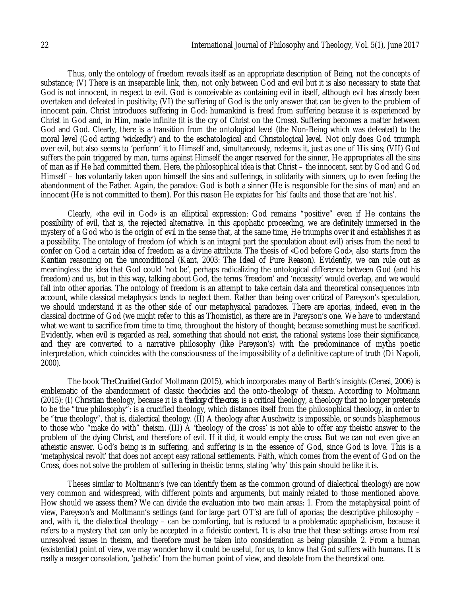Thus, only the ontology of freedom reveals itself as an appropriate description of Being, not the concepts of substance; (V) There is an inseparable link, then, not only between God and evil but it is also necessary to state that God is not innocent, in respect to evil. God is conceivable as containing evil in itself, although evil has already been overtaken and defeated in positivity; (VI) the suffering of God is the only answer that can be given to the problem of innocent pain. Christ introduces suffering in God: humankind is freed from suffering because it is experienced by Christ in God and, in Him, made infinite (it is the cry of Christ on the Cross). Suffering becomes a matter between God and God. Clearly, there is a transition from the ontological level (the Non-Being which was defeated) to the moral level (God acting 'wickedly') and to the eschatological and Christological level. Not only does God triumph over evil, but also seems to 'perform' it to Himself and, simultaneously, redeems it, just as one of His sins; (VII) God suffers the pain triggered by man, turns against Himself the anger reserved for the sinner, He appropriates all the sins of man as if He had committed them. Here, the philosophical idea is that Christ – the innocent, sent by God and God Himself – has voluntarily taken upon himself the sins and sufferings, in solidarity with sinners, up to even feeling the abandonment of the Father. Again, the paradox: God is both a sinner (He is responsible for the sins of man) and an innocent (He is not committed to them). For this reason He expiates for 'his' faults and those that are 'not his'.

Clearly, «the evil in God» is an elliptical expression: God remains "positive" even if He contains the possibility of evil, that is, the rejected alternative. In this apophatic proceeding, we are definitely immersed in the mystery of a God who is the origin of evil in the sense that, at the same time, He triumphs over it and establishes it as a possibility. The ontology of freedom (of which is an integral part the speculation about evil) arises from the need to confer on God a certain idea of freedom as a divine attribute. The thesis of «God before God», also starts from the Kantian reasoning on the unconditional (Kant, 2003: The Ideal of Pure Reason). Evidently, we can rule out as meaningless the idea that God could 'not be', perhaps radicalizing the ontological difference between God (and his freedom) and us, but in this way, talking about God, the terms 'freedom' and 'necessity' would overlap, and we would fall into other aporias. The ontology of freedom is an attempt to take certain data and theoretical consequences into account, while classical metaphysics tends to neglect them. Rather than being over critical of Pareyson's speculation, we should understand it as the other side of our metaphysical paradoxes. There are aporias, indeed, even in the classical doctrine of God (we might refer to this as Thomistic), as there are in Pareyson's one. We have to understand what we want to sacrifice from time to time, throughout the history of thought; because something must be sacrificed. Evidently, when evil is regarded as real, something that should not exist, the rational systems lose their significance, and they are converted to a narrative philosophy (like Pareyson's) with the predominance of myths poetic interpretation, which coincides with the consciousness of the impossibility of a definitive capture of truth (Di Napoli, 2000).

The book *The Crucified God* of Moltmann (2015), which incorporates many of Barth's insights (Cerasi, 2006) is emblematic of the abandonment of classic theodicies and the onto-theology of theism. According to Moltmann (2015): (I) Christian theology, because it is a *theology of the cross*, is a critical theology, a theology that no longer pretends to be the "true philosophy": is a crucified theology, which distances itself from the philosophical theology, in order to be "true theology", that is, dialectical theology. (II) A theology after Auschwitz is impossible, or sounds blasphemous to those who "make do with" theism. (III) A 'theology of the cross' is not able to offer any theistic answer to the problem of the dying Christ, and therefore of evil. If it did, it would empty the cross. But we can not even give an atheistic answer. God's being is in suffering, and suffering is in the essence of God, since God is love. This is a 'metaphysical revolt' that does not accept easy rational settlements. Faith, which comes from the event of God on the Cross, does not solve the problem of suffering in theistic terms, stating 'why' this pain should be like it is.

Theses similar to Moltmann's (we can identify them as the common ground of dialectical theology) are now very common and widespread, with different points and arguments, but mainly related to those mentioned above. How should we assess them? We can divide the evaluation into two main areas: 1. From the metaphysical point of view, Pareyson's and Moltmann's settings (and for large part OT's) are full of aporias; the descriptive philosophy – and, with it, the dialectical theology – can be comforting, but is reduced to a problematic apophaticism, because it refers to a mystery that can only be accepted in a fideistic context. It is also true that these settings arose from real unresolved issues in theism, and therefore must be taken into consideration as being plausible. 2. From a human (existential) point of view, we may wonder how it could be useful, for us, to know that God suffers with humans. It is really a meager consolation, 'pathetic' from the human point of view, and desolate from the theoretical one.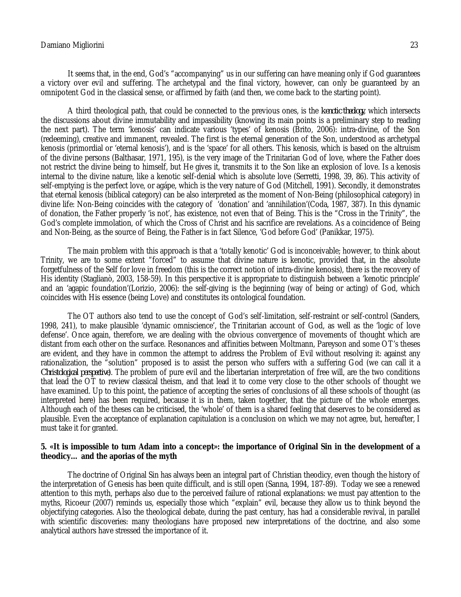It seems that, in the end, God's "accompanying" us in our suffering can have meaning only if God guarantees a victory over evil and suffering. The archetypal and the final victory, however, can only be guaranteed by an omnipotent God in the classical sense, or affirmed by faith (and then, we come back to the starting point).

A third theological path, that could be connected to the previous ones, is the *kenotic theology*, which intersects the discussions about divine immutability and impassibility (knowing its main points is a preliminary step to reading the next part). The term 'kenosis' can indicate various 'types' of kenosis (Brito, 2006): intra-divine, of the Son (redeeming), creative and immanent, revealed. The first is the eternal generation of the Son, understood as archetypal kenosis (primordial or 'eternal kenosis'), and is the 'space' for all others. This kenosis, which is based on the altruism of the divine persons (Balthasar, 1971, 195), is the very image of the Trinitarian God of love, where the Father does not restrict the divine being to himself, but He gives it, transmits it to the Son like an explosion of love. Is a kenosis internal to the divine nature, like a kenotic self-denial which is absolute love (Serretti, 1998, 39, 86). This activity of self-emptying is the perfect love, or agápe, which is the very nature of God (Mitchell, 1991). Secondly, it demonstrates that eternal kenosis (biblical category) can be also interpreted as the moment of Non-Being (philosophical category) in divine life: Non-Being coincides with the category of 'donation' and 'annihilation'(Coda, 1987, 387). In this dynamic of donation, the Father properly 'is not', has existence, not even that of Being. This is the "Cross in the Trinity", the God's complete immolation, of which the Cross of Christ and his sacrifice are revelations. As a coincidence of Being and Non-Being, as the source of Being, the Father is in fact Silence, 'God before God' (Panikkar, 1975).

The main problem with this approach is that a 'totally kenotic' God is inconceivable; however, to think about Trinity, we are to some extent "forced" to assume that divine nature is kenotic, provided that, in the absolute forgetfulness of the Self for love in freedom (this is the correct notion of intra-divine kenosis), there is the recovery of His identity (Staglianò, 2003, 158-59). In this perspective it is appropriate to distinguish between a 'kenotic principle' and an 'agapic foundation'(Lorizio, 2006): the self-giving is the beginning (way of being or acting) of God, which coincides with His essence (being Love) and constitutes its ontological foundation.

The OT authors also tend to use the concept of God's self-limitation, self-restraint or self-control (Sanders, 1998, 241), to make plausible 'dynamic omniscience', the Trinitarian account of God, as well as the 'logic of love defense'. Once again, therefore, we are dealing with the obvious convergence of movements of thought which are distant from each other on the surface. Resonances and affinities between Moltmann, Pareyson and some OT's theses are evident, and they have in common the attempt to address the Problem of Evil without resolving it: against any rationalization, the "solution" proposed is to assist the person who suffers with a suffering God (we can call it a *Christological perspective*). The problem of pure evil and the libertarian interpretation of free will, are the two conditions that lead the OT to review classical theism, and that lead it to come very close to the other schools of thought we have examined. Up to this point, the patience of accepting the series of conclusions of all these schools of thought (as interpreted here) has been required, because it is in them, taken together, that the picture of the whole emerges. Although each of the theses can be criticised, the 'whole' of them is a shared feeling that deserves to be considered as plausible. Even the acceptance of explanation capitulation is a conclusion on which we may not agree, but, hereafter, I must take it for granted.

## **5. «It is impossible to turn Adam into a concept»: the importance of Original Sin in the development of a theodicy… and the aporias of the myth**

The doctrine of Original Sin has always been an integral part of Christian theodicy, even though the history of the interpretation of Genesis has been quite difficult, and is still open (Sanna, 1994, 187-89). Today we see a renewed attention to this myth, perhaps also due to the perceived failure of rational explanations: we must pay attention to the myths, Ricoeur (2007) reminds us, especially those which "explain" evil, because they allow us to think beyond the objectifying categories. Also the theological debate, during the past century, has had a considerable revival, in parallel with scientific discoveries: many theologians have proposed new interpretations of the doctrine, and also some analytical authors have stressed the importance of it.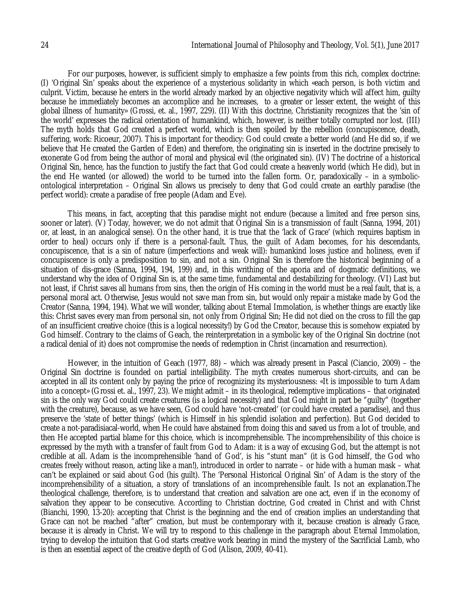For our purposes, however, is sufficient simply to emphasize a few points from this rich, complex doctrine: (I) 'Original Sin' speaks about the experience of a mysterious solidarity in which «each person, is both victim and culprit. Victim, because he enters in the world already marked by an objective negativity which will affect him, guilty because he immediately becomes an accomplice and he increases, to a greater or lesser extent, the weight of this global illness of humanity» (Grossi, et. al., 1997, 229). (II) With this doctrine, Christianity recognizes that the 'sin of the world' expresses the radical orientation of humankind, which, however, is neither totally corrupted nor lost. (III) The myth holds that God created a perfect world, which is then spoiled by the rebellion (concupiscence, death, suffering, work: Ricoeur, 2007). This is important for theodicy: God could create a better world (and He did so, if we believe that He created the Garden of Eden) and therefore, the originating sin is inserted in the doctrine precisely to exonerate God from being the author of moral and physical evil (the originated sin). (IV) The doctrine of a historical Original Sin, hence, has the function to justify the fact that God could create a heavenly world (which He did), but in the end He wanted (or allowed) the world to be turned into the fallen form. Or, paradoxically – in a symbolicontological interpretation – Original Sin allows us precisely to deny that God could create an earthly paradise (the perfect world): create a paradise of free people (Adam and Eve).

This means, in fact, accepting that this paradise might not endure (because a limited and free person sins, sooner or later). (V) Today, however, we do not admit that Original Sin is a transmission of fault (Sanna, 1994, 201) or, at least, in an analogical sense). On the other hand, it is true that the 'lack of Grace' (which requires baptism in order to heal) occurs only if there is a personal-fault. Thus, the guilt of Adam becomes, for his descendants, concupiscence, that is a sin of nature (imperfections and weak will): humankind loses justice and holiness, even if concupiscence is only a predisposition to sin, and not a sin. Original Sin is therefore the historical beginning of a situation of dis-grace (Sanna, 1994, 194, 199) and, in this writhing of the aporia and of dogmatic definitions, we understand why the idea of Original Sin is, at the same time, fundamental and destabilizing for theology. (VI) Last but not least, if Christ saves all humans from sins, then the origin of His coming in the world must be a real fault, that is, a personal moral act. Otherwise, Jesus would not save man from sin, but would only repair a mistake made by God the Creator (Sanna, 1994, 194). What we will wonder, talking about Eternal Immolation, is whether things are exactly like this: Christ saves every man from personal sin, not only from Original Sin; He did not died on the cross to fill the gap of an insufficient creative choice (this is a logical necessity!) by God the Creator, because this is somehow expiated by God himself. Contrary to the claims of Geach, the reinterpretation in a symbolic key of the Original Sin doctrine (not a radical denial of it) does not compromise the needs of redemption in Christ (incarnation and resurrection).

However, in the intuition of Geach (1977, 88) – which was already present in Pascal (Ciancio, 2009) – the Original Sin doctrine is founded on partial intelligibility. The myth creates numerous short-circuits, and can be accepted in all its content only by paying the price of recognizing its mysteriousness: «It is impossible to turn Adam into a concept» (Grossi et. al., 1997, 23). We might admit – in its theological, redemptive implications – that originated sin is the only way God could create creatures (is a logical necessity) and that God might in part be "guilty" (together with the creature), because, as we have seen, God could have 'not-created' (or could have created a paradise), and thus preserve the 'state of better things' (which is Himself in his splendid isolation and perfection). But God decided to create a not-paradisiacal-world, when He could have abstained from doing this and saved us from a lot of trouble, and then He accepted partial blame for this choice, which is incomprehensible. The incomprehensibility of this choice is expressed by the myth with a transfer of fault from God to Adam: it is a way of excusing God, but the attempt is not credible at all. Adam is the incomprehensible 'hand of God', is his "stunt man" (it is God himself, the God who creates freely without reason, acting like a man!), introduced in order to narrate – or hide with a human mask – what can't be explained or said about God (his guilt). The 'Personal Historical Original Sin' of Adam is the story of the incomprehensibility of a situation, a story of translations of an incomprehensible fault. Is not an explanation.The theological challenge, therefore, is to understand that creation and salvation are one act, even if in the economy of salvation they appear to be consecutive. According to Christian doctrine, God created in Christ and with Christ (Bianchi, 1990, 13-20): accepting that Christ is the beginning and the end of creation implies an understanding that Grace can not be reached "after" creation, but must be contemporary with it, because creation is already Grace, because it is already in Christ. We will try to respond to this challenge in the paragraph about Eternal Immolation, trying to develop the intuition that God starts creative work bearing in mind the mystery of the Sacrificial Lamb, who is then an essential aspect of the creative depth of God (Alison, 2009, 40-41).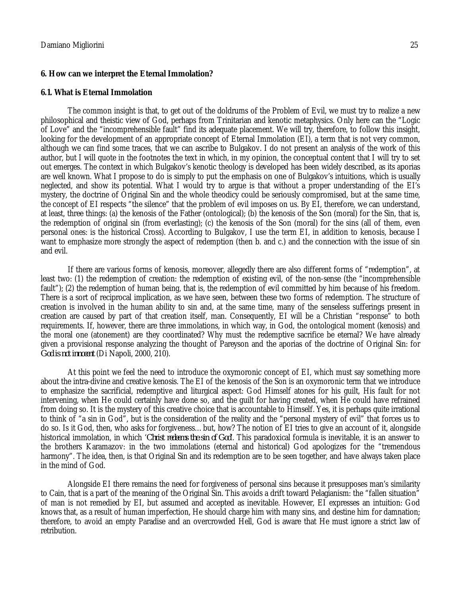### **6. How can we interpret the Eternal Immolation?**

#### **6.1. What is Eternal Immolation**

The common insight is that, to get out of the doldrums of the Problem of Evil, we must try to realize a new philosophical and theistic view of God, perhaps from Trinitarian and kenotic metaphysics. Only here can the "Logic of Love" and the "incomprehensible fault" find its adequate placement. We will try, therefore, to follow this insight, looking for the development of an appropriate concept of Eternal Immolation (EI), a term that is not very common, although we can find some traces, that we can ascribe to Bulgakov. I do not present an analysis of the work of this author, but I will quote in the footnotes the text in which, in my opinion, the conceptual content that I will try to set out emerges. The context in which Bulgakov's kenotic theology is developed has been widely described, as its aporias are well known. What I propose to do is simply to put the emphasis on one of Bulgakov's intuitions, which is usually neglected, and show its potential. What I would try to argue is that without a proper understanding of the EI's mystery, the doctrine of Original Sin and the whole theodicy could be seriously compromised, but at the same time, the concept of EI respects "the silence" that the problem of evil imposes on us. By EI, therefore, we can understand, at least, three things: (a) the kenosis of the Father (ontological); (b) the kenosis of the Son (moral) for the Sin, that is, the redemption of original sin (from everlasting); (c) the kenosis of the Son (moral) for the sins (all of them, even personal ones: is the historical Cross). According to Bulgakov, I use the term EI, in addition to kenosis, because I want to emphasize more strongly the aspect of redemption (then b. and c.) and the connection with the issue of sin and evil.

If there are various forms of kenosis, moreover, allegedly there are also different forms of "redemption", at least two: (1) the redemption of creation: the redemption of existing evil, of the non-sense (the "incomprehensible fault"); (2) the redemption of human being, that is, the redemption of evil committed by him because of his freedom. There is a sort of reciprocal implication, as we have seen, between these two forms of redemption. The structure of creation is involved in the human ability to sin and, at the same time, many of the senseless sufferings present in creation are caused by part of that creation itself, man. Consequently, EI will be a Christian "response" to both requirements. If, however, there are three immolations, in which way, in God, the ontological moment (kenosis) and the moral one (atonement) are they coordinated? Why must the redemptive sacrifice be eternal? We have already given a provisional response analyzing the thought of Pareyson and the aporias of the doctrine of Original Sin: for *God is not innocent* (Di Napoli, 2000, 210).

At this point we feel the need to introduce the oxymoronic concept of EI, which must say something more about the intra-divine and creative kenosis. The EI of the kenosis of the Son is an oxymoronic term that we introduce to emphasize the sacrificial, redemptive and liturgical aspect: God Himself atones for his guilt, His fault for not intervening, when He could certainly have done so, and the guilt for having created, when He could have refrained from doing so. It is the mystery of this creative choice that is accountable to Himself. Yes, it is perhaps quite irrational to think of "a sin in God", but is the consideration of the reality and the "personal mystery of evil" that forces us to do so. Is it God, then, who asks for forgiveness…but, how? The notion of EI tries to give an account of it, alongside historical immolation, in which '*Christ redeems the sin of God*'. This paradoxical formula is inevitable, it is an answer to the brothers Karamazov: in the two immolations (eternal and historical) God apologizes for the "tremendous harmony". The idea, then, is that Original Sin and its redemption are to be seen together, and have always taken place in the mind of God.

Alongside EI there remains the need for forgiveness of personal sins because it presupposes man's similarity to Cain, that is a part of the meaning of the Original Sin. This avoids a drift toward Pelagianism: the "fallen situation" of man is not remedied by EI, but assumed and accepted as inevitable. However, EI expresses an intuition: God knows that, as a result of human imperfection, He should charge him with many sins, and destine him for damnation; therefore, to avoid an empty Paradise and an overcrowded Hell, God is aware that He must ignore a strict law of retribution.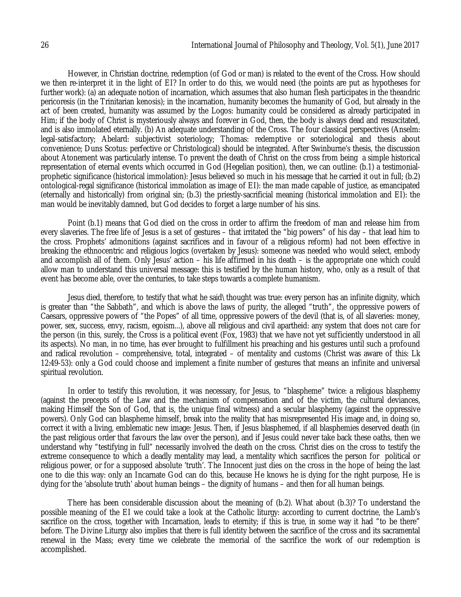However, in Christian doctrine, redemption (of God or man) is related to the event of the Cross. How should we then re-interpret it in the light of EI? In order to do this, we would need (the points are put as hypotheses for further work): (a) an adequate notion of incarnation, which assumes that also human flesh participates in the theandric pericoresis (in the Trinitarian kenosis); in the incarnation, humanity becomes the humanity of God, but already in the act of been created, humanity was assumed by the Logos: humanity could be considered as already participated in Him; if the body of Christ is mysteriously always and forever in God, then, the body is always dead and resuscitated, and is also immolated eternally. (b) An adequate understanding of the Cross. The four classical perspectives (Anselm: legal-satisfactory; Abelard: subjectivist soteriology; Thomas: redemptive or soteriological and thesis about convenience; Duns Scotus: perfective or Christological) should be integrated. After Swinburne's thesis, the discussion about Atonement was particularly intense. To prevent the death of Christ on the cross from being a simple historical representation of eternal events which occurred in God (Hegelian position), then, we can outline: (b.1) a testimonialprophetic significance (historical immolation): Jesus believed so much in his message that he carried it out in full; (b.2) ontological-regal significance (historical immolation as image of EI): the man made capable of justice, as emancipated (eternally and historically) from original sin; (b.3) the priestly-sacrificial meaning (historical immolation and EI): the man would be inevitably damned, but God decides to forget a large number of his sins.

Point (b.1) means that God died on the cross in order to affirm the freedom of man and release him from every slaveries. The free life of Jesus is a set of gestures – that irritated the "big powers" of his day – that lead him to the cross. Prophets' admonitions (against sacrifices and in favour of a religious reform) had not been effective in breaking the ethnocentric and religious logics (overtaken by Jesus): someone was needed who would select, embody and accomplish all of them. Only Jesus' action – his life affirmed in his death – is the appropriate one which could allow man to understand this universal message: this is testified by the human history, who, only as a result of that event has become able, over the centuries, to take steps towards a complete humanism.

Jesus died, therefore, to testify that what he said\thought was true: every person has an infinite dignity, which is greater than "the Sabbath", and which is above the laws of purity, the alleged "truth", the oppressive powers of Caesars, oppressive powers of "the Popes" of all time, oppressive powers of the devil (that is, of all slaveries: money, power, sex, success, envy, racism, egoism...), above all religious and civil apartheid: any system that does not care for the person (in this, surely, the Cross is a political event (Fox, 1983) that we have not yet sufficiently understood in all its aspects). No man, in no time, has ever brought to fulfillment his preaching and his gestures until such a profound and radical revolution – comprehensive, total, integrated – of mentality and customs (Christ was aware of this: Lk 12:49-53): only a God could choose and implement a finite number of gestures that means an infinite and universal spiritual revolution.

In order to testify this revolution, it was necessary, for Jesus, to "blaspheme" twice: a religious blasphemy (against the precepts of the Law and the mechanism of compensation and of the victim, the cultural deviances, making Himself the Son of God, that is, the unique final witness) and a secular blasphemy (against the oppressive powers). Only God can blaspheme himself, break into the reality that has misrepresented His image and, in doing so, correct it with a living, emblematic new image: Jesus. Then, if Jesus blasphemed, if all blasphemies deserved death (in the past religious order that favours the law over the person), and if Jesus could never take back these oaths, then we understand why "testifying in full" necessarily involved the death on the cross. Christ dies on the cross to testify the extreme consequence to which a deadly mentality may lead, a mentality which sacrifices the person for political or religious power, or for a supposed absolute 'truth'. The Innocent just dies on the cross in the hope of being the last one to die this way: only an Incarnate God can do this, because He knows he is dying for the right purpose, He is dying for the 'absolute truth' about human beings – the dignity of humans – and then for all human beings.

There has been considerable discussion about the meaning of (b.2). What about (b.3)? To understand the possible meaning of the EI we could take a look at the Catholic liturgy: according to current doctrine, the Lamb's sacrifice on the cross, together with Incarnation, leads to eternity; if this is true, in some way it had "to be there" before. The Divine Liturgy also implies that there is full identity between the sacrifice of the cross and its sacramental renewal in the Mass; every time we celebrate the memorial of the sacrifice the work of our redemption is accomplished.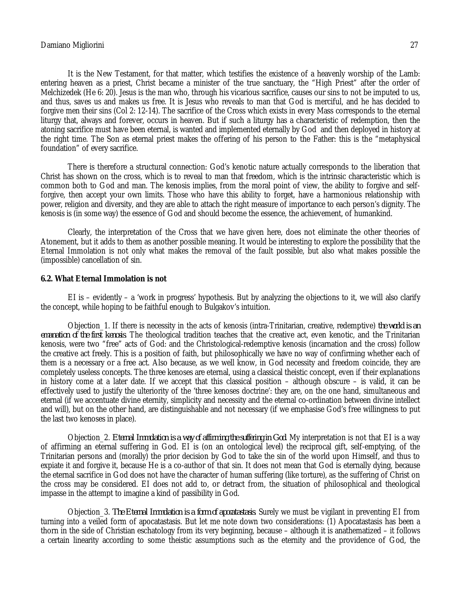It is the New Testament, for that matter, which testifies the existence of a heavenly worship of the Lamb: entering heaven as a priest, Christ became a minister of the true sanctuary, the "High Priest" after the order of Melchizedek (He 6: 20). Jesus is the man who, through his vicarious sacrifice, causes our sins to not be imputed to us, and thus, saves us and makes us free. It is Jesus who reveals to man that God is merciful, and he has decided to forgive men their sins (Col 2: 12-14). The sacrifice of the Cross which exists in every Mass corresponds to the eternal liturgy that, always and forever, occurs in heaven. But if such a liturgy has a characteristic of redemption, then the atoning sacrifice must have been eternal, is wanted and implemented eternally by God and then deployed in history at the right time. The Son as eternal priest makes the offering of his person to the Father: this is the "metaphysical foundation" of every sacrifice.

There is therefore a structural connection: God's kenotic nature actually corresponds to the liberation that Christ has shown on the cross, which is to reveal to man that freedom, which is the intrinsic characteristic which is common both to God and man. The kenosis implies, from the moral point of view, the ability to forgive and selfforgive, then accept your own limits. Those who have this ability to forget, have a harmonious relationship with power, religion and diversity, and they are able to attach the right measure of importance to each person's dignity. The kenosis is (in some way) the essence of God and should become the essence, the achievement, of humankind.

Clearly, the interpretation of the Cross that we have given here, does not eliminate the other theories of Atonement, but it adds to them as another possible meaning. It would be interesting to explore the possibility that the Eternal Immolation is not only what makes the removal of the fault possible, but also what makes possible the (impossible) cancellation of sin.

### **6.2. What Eternal Immolation is not**

EI is – evidently – a 'work in progress' hypothesis. But by analyzing the objections to it, we will also clarify the concept, while hoping to be faithful enough to Bulgakov's intuition.

Objection\_1. If there is necessity in the acts of kenosis (intra-Trinitarian, creative, redemptive) *the world is an emanation of the first kenosis*. The theological tradition teaches that the creative act, even kenotic, and the Trinitarian kenosis, were two "free" acts of God: and the Christological-redemptive kenosis (incarnation and the cross) follow the creative act freely. This is a position of faith, but philosophically we have no way of confirming whether each of them is a necessary or a free act. Also because, as we well know, in God necessity and freedom coincide, they are completely useless concepts. The three kenoses are eternal, using a classical theistic concept, even if their explanations in history come at a later date. If we accept that this classical position – although obscure – is valid, it can be effectively used to justify the ulteriority of the 'three kenoses doctrine': they are, on the one hand, simultaneous and eternal (if we accentuate divine eternity, simplicity and necessity and the eternal co-ordination between divine intellect and will), but on the other hand, are distinguishable and not necessary (if we emphasise God's free willingness to put the last two kenoses in place).

Objection\_2. *Eternal Immolation is a way of affirming the suffering in God*. My interpretation is not that EI is a way of affirming an eternal suffering in God. EI is (on an ontological level) the reciprocal gift, self-emptying, of the Trinitarian persons and (morally) the prior decision by God to take the sin of the world upon Himself, and thus to expiate it and forgive it, because He is a co-author of that sin. It does not mean that God is eternally dying, because the eternal sacrifice in God does not have the character of human suffering (like torture), as the suffering of Christ on the cross may be considered. EI does not add to, or detract from, the situation of philosophical and theological impasse in the attempt to imagine a kind of passibility in God.

Objection\_3. *The Eternal Immolation is a form of apocatastasis*. Surely we must be vigilant in preventing EI from turning into a veiled form of apocatastasis. But let me note down two considerations: (1) Apocatastasis has been a thorn in the side of Christian eschatology from its very beginning, because – although it is anathematized – it follows a certain linearity according to some theistic assumptions such as the eternity and the providence of God, the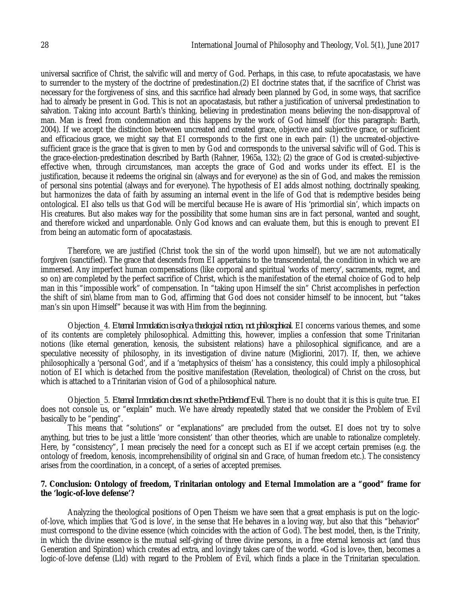universal sacrifice of Christ, the salvific will and mercy of God. Perhaps, in this case, to refute apocatastasis, we have to surrender to the mystery of the doctrine of predestination.(2) EI doctrine states that, if the sacrifice of Christ was necessary for the forgiveness of sins, and this sacrifice had already been planned by God, in some ways, that sacrifice had to already be present in God. This is not an apocatastasis, but rather a justification of universal predestination to salvation. Taking into account Barth's thinking, believing in predestination means believing the non-disapproval of man. Man is freed from condemnation and this happens by the work of God himself (for this paragraph: Barth, 2004). If we accept the distinction between uncreated and created grace, objective and subjective grace, or sufficient and efficacious grace, we might say that EI corresponds to the first one in each pair: (1) the uncreated-objectivesufficient grace is the grace that is given to men by God and corresponds to the universal salvific will of God. This is the grace-election-predestination described by Barth (Rahner, 1965a, 132); (2) the grace of God is created-subjectiveeffective when, through circumstances, man accepts the grace of God and works under its effect. EI is the justification, because it redeems the original sin (always and for everyone) as the sin of God, and makes the remission of personal sins potential (always and for everyone). The hypothesis of EI adds almost nothing, doctrinally speaking, but harmonizes the data of faith by assuming an internal event in the life of God that is redemptive besides being ontological. EI also tells us that God will be merciful because He is aware of His 'primordial sin', which impacts on His creatures. But also makes way for the possibility that some human sins are in fact personal, wanted and sought, and therefore wicked and unpardonable. Only God knows and can evaluate them, but this is enough to prevent EI from being an automatic form of apocatastasis.

Therefore, we are justified (Christ took the sin of the world upon himself), but we are not automatically forgiven (sanctified). The grace that descends from EI appertains to the transcendental, the condition in which we are immersed. Any imperfect human compensations (like corporal and spiritual 'works of mercy', sacraments, regret, and so on) are completed by the perfect sacrifice of Christ, which is the manifestation of the eternal choice of God to help man in this "impossible work" of compensation. In "taking upon Himself the sin" Christ accomplishes in perfection the shift of sin\blame from man to God, affirming that God does not consider himself to be innocent, but "takes man's sin upon Himself" because it was with Him from the beginning.

Objection\_4. *Eternal Immolation is only a theological notion, not philosophical*. EI concerns various themes, and some of its contents are completely philosophical. Admitting this, however, implies a confession that some Trinitarian notions (like eternal generation, kenosis, the subsistent relations) have a philosophical significance, and are a speculative necessity of philosophy, in its investigation of divine nature (Migliorini, 2017). If, then, we achieve philosophically a 'personal God', and if a 'metaphysics of theism' has a consistency, this could imply a philosophical notion of EI which is detached from the positive manifestation (Revelation, theological) of Christ on the cross, but which is attached to a Trinitarian vision of God of a philosophical nature.

Objection\_5. *Eternal Immolation does not solve the Problem of Evil*. There is no doubt that it is this is quite true. EI does not console us, or "explain" much. We have already repeatedly stated that we consider the Problem of Evil basically to be "pending".

This means that "solutions" or "explanations" are precluded from the outset. EI does not try to solve anything, but tries to be just a little 'more consistent' than other theories, which are unable to rationalize completely. Here, by "consistency", I mean precisely the need for a concept such as EI if we accept certain premises (e.g. the ontology of freedom, kenosis, incomprehensibility of original sin and Grace, of human freedom etc.). The consistency arises from the coordination, in a concept, of a series of accepted premises.

## **7. Conclusion: Ontology of freedom, Trinitarian ontology and Eternal Immolation are a "good" frame for the 'logic-of-love defense'?**

Analyzing the theological positions of Open Theism we have seen that a great emphasis is put on the logicof-love, which implies that 'God is love', in the sense that He behaves in a loving way, but also that this "behavior" must correspond to the divine essence (which coincides with the action of God). The best model, then, is the Trinity, in which the divine essence is the mutual self-giving of three divine persons, in a free eternal kenosis act (and thus Generation and Spiration) which creates ad extra, and lovingly takes care of the world. «God is love», then, becomes a logic-of-love defense (Lld) with regard to the Problem of Evil, which finds a place in the Trinitarian speculation.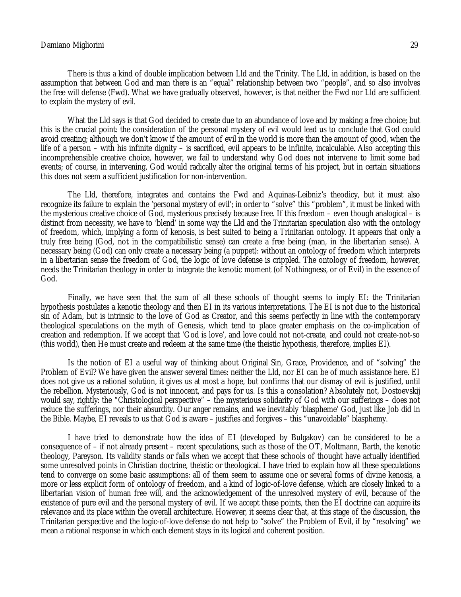There is thus a kind of double implication between Lld and the Trinity. The Lld, in addition, is based on the assumption that between God and man there is an "equal" relationship between two "people", and so also involves the free will defense (Fwd). What we have gradually observed, however, is that neither the Fwd nor Lld are sufficient to explain the mystery of evil.

What the Lld says is that God decided to create due to an abundance of love and by making a free choice; but this is the crucial point: the consideration of the personal mystery of evil would lead us to conclude that God could avoid creating; although we don't know if the amount of evil in the world is more than the amount of good, when the life of a person – with his infinite dignity – is sacrificed, evil appears to be infinite, incalculable. Also accepting this incomprehensible creative choice, however, we fail to understand why God does not intervene to limit some bad events; of course, in intervening, God would radically alter the original terms of his project, but in certain situations this does not seem a sufficient justification for non-intervention.

The Lld, therefore, integrates and contains the Fwd and Aquinas-Leibniz's theodicy, but it must also recognize its failure to explain the 'personal mystery of evil'; in order to "solve" this "problem", it must be linked with the mysterious creative choice of God, mysterious precisely because free. If this freedom – even though analogical – is distinct from necessity, we have to 'blend' in some way the Lld and the Trinitarian speculation also with the ontology of freedom, which, implying a form of kenosis, is best suited to being a Trinitarian ontology. It appears that only a truly free being (God, not in the compatibilistic sense) can create a free being (man, in the libertarian sense). A necessary being (God) can only create a necessary being (a puppet): without an ontology of freedom which interprets in a libertarian sense the freedom of God, the logic of love defense is crippled. The ontology of freedom, however, needs the Trinitarian theology in order to integrate the kenotic moment (of Nothingness, or of Evil) in the essence of God.

Finally, we have seen that the sum of all these schools of thought seems to imply EI: the Trinitarian hypothesis postulates a kenotic theology and then EI in its various interpretations. The EI is not due to the historical sin of Adam, but is intrinsic to the love of God as Creator, and this seems perfectly in line with the contemporary theological speculations on the myth of Genesis, which tend to place greater emphasis on the co-implication of creation and redemption. If we accept that 'God is love', and love could not not-create, and could not create-not-so (this world), then He must create and redeem at the same time (the theistic hypothesis, therefore, implies EI).

Is the notion of EI a useful way of thinking about Original Sin, Grace, Providence, and of "solving" the Problem of Evil? We have given the answer several times: neither the Lld, nor EI can be of much assistance here. EI does not give us a rational solution, it gives us at most a hope, but confirms that our dismay of evil is justified, until the rebellion. Mysteriously, God is not innocent, and pays for us. Is this a consolation? Absolutely not, Dostoevskij would say, rightly: the "Christological perspective" – the mysterious solidarity of God with our sufferings – does not reduce the sufferings, nor their absurdity. Our anger remains, and we inevitably 'blaspheme' God, just like Job did in the Bible. Maybe, EI reveals to us that God is aware – justifies and forgives – this "unavoidable" blasphemy.

I have tried to demonstrate how the idea of EI (developed by Bulgakov) can be considered to be a consequence of – if not already present – recent speculations, such as those of the OT, Moltmann, Barth, the kenotic theology, Pareyson. Its validity stands or falls when we accept that these schools of thought have actually identified some unresolved points in Christian doctrine, theistic or theological. I have tried to explain how all these speculations tend to converge on some basic assumptions: all of them seem to assume one or several forms of divine kenosis, a more or less explicit form of ontology of freedom, and a kind of logic-of-love defense, which are closely linked to a libertarian vision of human free will, and the acknowledgement of the unresolved mystery of evil, because of the existence of pure evil and the personal mystery of evil. If we accept these points, then the EI doctrine can acquire its relevance and its place within the overall architecture. However, it seems clear that, at this stage of the discussion, the Trinitarian perspective and the logic-of-love defense do not help to "solve" the Problem of Evil, if by "resolving" we mean a rational response in which each element stays in its logical and coherent position.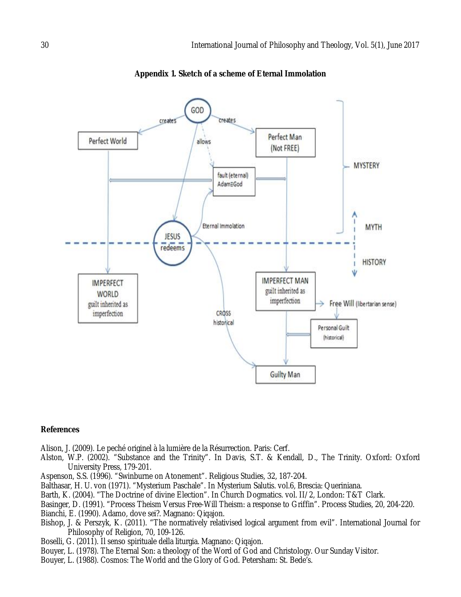

**Appendix 1. Sketch of a scheme of Eternal Immolation**

#### **References**

Alison, J. (2009). Le peché originel à la lumière de la Résurrection. Paris: Cerf.

- Alston, W.P. (2002). "Substance and the Trinity". In Davis, S.T. & Kendall, D., The Trinity. Oxford: Oxford University Press, 179-201.
- Aspenson, S.S. (1996). "Swinburne on Atonement". Religious Studies, 32, 187-204.
- Balthasar, H. U. von (1971). "Mysterium Paschale". In Mysterium Salutis. vol.6, Brescia: Queriniana.
- Barth, K. (2004). "The Doctrine of divine Election". In Church Dogmatics. vol. II/2, London: T&T Clark.
- Basinger, D. (1991). "Process Theism Versus Free-Will Theism: a response to Griffin". Process Studies, 20, 204-220.
- Bianchi, E. (1990). Adamo, dove sei?. Magnano: Qiqajon.
- Bishop, J. & Perszyk, K. (2011). "The normatively relativised logical argument from evil". International Journal for Philosophy of Religion, 70, 109-126.
- Boselli, G. (2011). Il senso spirituale della liturgia. Magnano: Qiqajon.
- Bouyer, L. (1978). The Eternal Son: a theology of the Word of God and Christology. Our Sunday Visitor.
- Bouyer, L. (1988). Cosmos: The World and the Glory of God. Petersham: St. Bede's.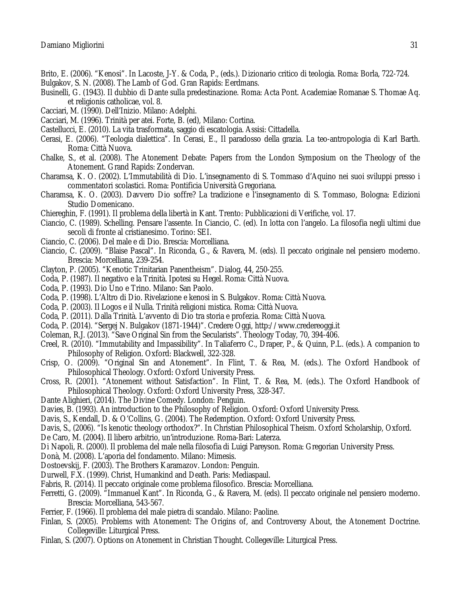- Brito, E. (2006). "Kenosi". In Lacoste, J-Y. & Coda, P., (eds.). Dizionario critico di teologia. Roma: Borla, 722-724.
- Bulgakov, S. N. (2008). The Lamb of God. Gran Rapids: Eerdmans.
- Businelli, G. (1943). Il dubbio di Dante sulla predestinazione. Roma: Acta Pont. Academiae Romanae S. Thomae Aq. et religionis catholicae, vol. 8.
- Cacciari, M. (1990). Dell'Inizio. Milano: Adelphi.
- Cacciari, M. (1996). Trinità per atei. Forte, B. (ed), Milano: Cortina.
- Castellucci, E. (2010). La vita trasformata, saggio di escatologia. Assisi: Cittadella.
- Cerasi, E. (2006). "Teologia dialettica". In Cerasi, E., Il paradosso della grazia. La teo-antropologia di Karl Barth. Roma: Città Nuova.
- Chalke, S., et al. (2008). The Atonement Debate: Papers from the London Symposium on the Theology of the Atonement. Grand Rapids: Zondervan.
- Charamsa, K. O. (2002). L'Immutabilità di Dio. L'insegnamento di S. Tommaso d'Aquino nei suoi sviluppi presso i commentatori scolastici. Roma: Pontificia Università Gregoriana.
- Charamsa, K. O. (2003). Davvero Dio soffre? La tradizione e l'insegnamento di S. Tommaso, Bologna: Edizioni Studio Domenicano.
- Chiereghin, F. (1991). Il problema della libertà in Kant. Trento: Pubblicazioni di Verifiche, vol. 17.
- Ciancio, C. (1989). Schelling. Pensare l'assente. In Ciancio, C. (ed). In lotta con l'angelo. La filosofia negli ultimi due secoli di fronte al cristianesimo. Torino: SEI.
- Ciancio, C. (2006). Del male e di Dio. Brescia: Morcelliana.
- Ciancio, C. (2009). "Blaise Pascal". In Riconda, G., & Ravera, M. (eds). Il peccato originale nel pensiero moderno. Brescia: Morcelliana, 239-254.
- Clayton, P. (2005). "Kenotic Trinitarian Panentheism". Dialog, 44, 250-255.
- Coda, P. (1987). Il negativo e la Trinità. Ipotesi su Hegel. Roma: Città Nuova.
- Coda, P. (1993). Dio Uno e Trino. Milano: San Paolo.
- Coda, P. (1998). L'Altro di Dio. Rivelazione e kenosi in S. Bulgakov. Roma: Città Nuova.
- Coda, P. (2003). Il Logos e il Nulla. Trinità religioni mistica. Roma: Città Nuova.
- Coda, P. (2011). Dalla Trinità. L'avvento di Dio tra storia e profezia. Roma: Città Nuova.
- Coda, P. (2014). "Sergej N. Bulgakov (1871-1944)". Credere Oggi, http://www.credereoggi.it
- Coleman, R.J. (2013). "Save Original Sin from the Secularists". Theology Today, 70, 394-406.
- Creel, R. (2010). "Immutability and Impassibility". In Taliaferro C., Draper, P., & Quinn, P.L. (eds.). A companion to Philosophy of Religion. Oxford: Blackwell, 322-328.
- Crisp, O. (2009). "Original Sin and Atonement". In Flint, T. & Rea, M. (eds.). The Oxford Handbook of Philosophical Theology. Oxford: Oxford University Press.
- Cross, R. (2001). "Atonement without Satisfaction". In Flint, T. & Rea, M. (eds.). The Oxford Handbook of Philosophical Theology. Oxford: Oxford University Press, 328-347.
- Dante Alighieri, (2014). The Divine Comedy. London: Penguin.
- Davies, B. (1993). An introduction to the Philosophy of Religion. Oxford: Oxford University Press.
- Davis, S., Kendall, D. & O'Collins, G. (2004). The Redemption. Oxford: Oxford University Press.
- Davis, S., (2006). "Is kenotic theology orthodox?". In Christian Philosophical Theism. Oxford Scholarship, Oxford.
- De Caro, M. (2004). Il libero arbitrio, un'introduzione. Roma-Bari: Laterza.
- Di Napoli, R. (2000). Il problema del male nella filosofia di Luigi Pareyson. Roma: Gregorian University Press.
- Donà, M. (2008). L'aporia del fondamento. Milano: Mimesis.
- Dostoevskij, F. (2003). The Brothers Karamazov. London: Penguin.
- Durwell, F.X. (1999). Christ, Humankind and Death. Paris: Mediaspaul.
- Fabris, R. (2014). Il peccato originale come problema filosofico. Brescia: Morcelliana.
- Ferretti, G. (2009). "Immanuel Kant". In Riconda, G., & Ravera, M. (eds). Il peccato originale nel pensiero moderno. Brescia: Morcelliana, 543-567.
- Ferrier, F. (1966). Il problema del male pietra di scandalo. Milano: Paoline.
- Finlan, S. (2005). Problems with Atonement: The Origins of, and Controversy About, the Atonement Doctrine. Collegeville: Liturgical Press.
- Finlan, S. (2007). Options on Atonement in Christian Thought. Collegeville: Liturgical Press.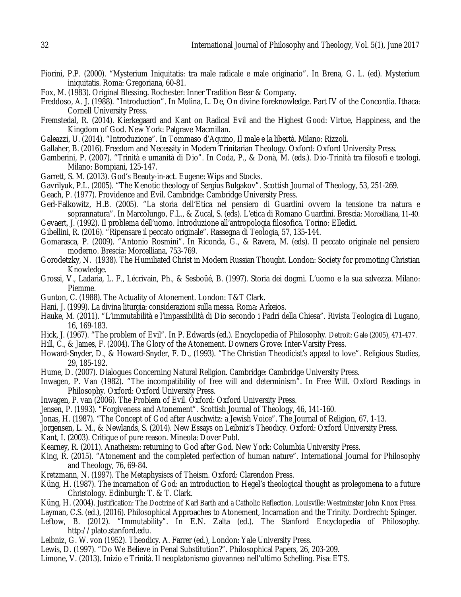- Fiorini, P.P. (2000). "Mysterium Iniquitatis: tra male radicale e male originario". In Brena, G. L. (ed). Mysterium iniquitatis. Roma: Gregoriana, 60-81.
- Fox, M. (1983). Original Blessing. Rochester: Inner Tradition Bear & Company.
- Freddoso, A. J. (1988). "Introduction". In Molina, L. De, On divine foreknowledge. Part IV of the Concordia. Ithaca: Cornell University Press.
- Fremstedal, R. (2014). Kierkegaard and Kant on Radical Evil and the Highest Good: Virtue, Happiness, and the Kingdom of God. New York: Palgrave Macmillan.
- Galeazzi, U. (2014). "Introduzione". In Tommaso d'Aquino, Il male e la libertà. Milano: Rizzoli.
- Gallaher, B. (2016). Freedom and Necessity in Modern Trinitarian Theology. Oxford: Oxford University Press.
- Gamberini, P. (2007). "Trinità e umanità di Dio". In Coda, P., & Donà, M. (eds.). Dio-Trinità tra filosofi e teologi. Milano: Bompiani, 125-147.
- Garrett, S. M. (2013). God's Beauty-in-act. Eugene: Wips and Stocks.
- Gavrilyuk, P.L. (2005). "The Kenotic theology of Sergius Bulgakov". Scottish Journal of Theology, 53, 251-269.
- Geach, P. (1977). Providence and Evil. Cambridge: Cambridge University Press.
- Gerl-Falkowitz, H.B. (2005). "La storia dell'Etica nel pensiero di Guardini ovvero la tensione tra natura e soprannatura". In Marcolungo, F.L., & Zucal, S. (eds). L'etica di Romano Guardini. Brescia: Morcelliana, 11-40.
- Gevaert, J. (1992). Il problema dell'uomo. Introduzione all'antropologia filosofica. Torino: Elledici.
- Gibellini, R. (2016). "Ripensare il peccato originale". Rassegna di Teologia, 57, 135-144.
- Gomarasca, P. (2009). "Antonio Rosmini". In Riconda, G., & Ravera, M. (eds). Il peccato originale nel pensiero moderno. Brescia: Morcelliana, 753-769.
- Gorodetzky, N. (1938). The Humiliated Christ in Modern Russian Thought. London: Society for promoting Christian Knowledge.
- Grossi, V., Ladaria, L. F., Lécrivain, Ph., & Sesboüé, B. (1997). Storia dei dogmi. L'uomo e la sua salvezza. Milano: Piemme.
- Gunton, C. (1988). The Actuality of Atonement. London: T&T Clark.
- Hani, J. (1999). La divina liturgia: considerazioni sulla messa. Roma: Arkeios.
- Hauke, M. (2011). "L'immutabilità e l'impassibilità di Dio secondo i Padri della Chiesa". Rivista Teologica di Lugano, 16, 169-183.
- Hick, J. (1967). "The problem of Evil". In P. Edwards (ed.). Encyclopedia of Philosophy. Detroit: Gale (2005), 471-477.
- Hill, C., & James, F. (2004). The Glory of the Atonement. Downers Grove: Inter-Varsity Press.
- Howard-Snyder, D., & Howard-Snyder, F. D., (1993). "The Christian Theodicist's appeal to love". Religious Studies, 29, 185-192.
- Hume, D. (2007). Dialogues Concerning Natural Religion. Cambridge: Cambridge University Press.
- Inwagen, P. Van (1982). "The incompatibility of free will and determinism". In Free Will. Oxford Readings in Philosophy. Oxford: Oxford University Press.
- Inwagen, P. van (2006). The Problem of Evil. Oxford: Oxford University Press.
- Jensen, P. (1993). "Forgiveness and Atonement". Scottish Journal of Theology, 46, 141-160.
- Jonas, H. (1987). "The Concept of God after Auschwitz: a Jewish Voice". The Journal of Religion, 67, 1-13.
- Jorgensen, L. M., & Newlands, S. (2014). New Essays on Leibniz's Theodicy. Oxford: Oxford University Press.
- Kant, I. (2003). Critique of pure reason. Mineola: Dover Publ.
- Kearney, R. (2011). Anatheism: returning to God after God. New York: Columbia University Press.
- King, R. (2015). "Atonement and the completed perfection of human nature". International Journal for Philosophy and Theology, 76, 69-84.
- Kretzmann, N. (1997). The Metaphysiscs of Theism. Oxford: Clarendon Press.
- Küng, H. (1987). The incarnation of God: an introduction to Hegel's theological thought as prolegomena to a future Christology. Edinburgh: T. & T. Clark.
- Küng, H. (2004). Justification: The Doctrine of Karl Barth and a Catholic Reflection. Louisville: Westminster John Knox Press.
- Layman, C.S. (ed.), (2016). Philosophical Approaches to Atonement, Incarnation and the Trinity. Dordrecht: Spinger.
- Leftow, B. (2012). "Immutability". In E.N. Zalta (ed.). The Stanford Encyclopedia of Philosophy. http://plato.stanford.edu.
- Leibniz, G. W. von (1952). Theodicy. A. Farrer (ed.), London: Yale University Press.
- Lewis, D. (1997). "Do We Believe in Penal Substitution?". Philosophical Papers, 26, 203-209.
- Limone, V. (2013). Inizio e Trinità. Il neoplatonismo giovanneo nell'ultimo Schelling. Pisa: ETS.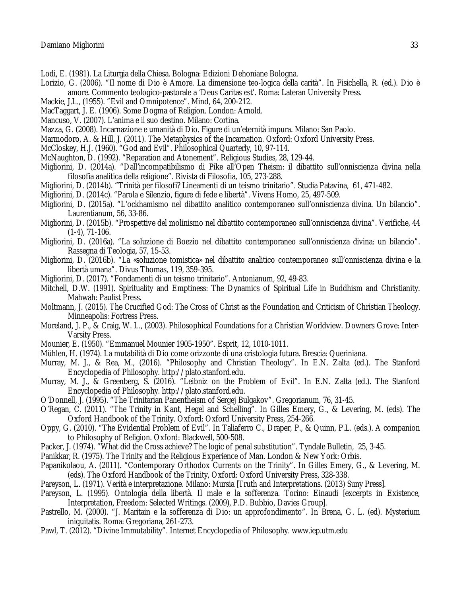- Lodi, E. (1981). La Liturgia della Chiesa. Bologna: Edizioni Dehoniane Bologna.
- Lorizio, G. (2006). "Il nome di Dio è Amore. La dimensione teo-logica della carità". In Fisichella, R. (ed.). Dio è amore. Commento teologico-pastorale a 'Deus Caritas est'. Roma: Lateran University Press.
- Mackie, J.L., (1955). "Evil and Omnipotence". Mind, 64, 200-212.
- MacTaggart, J. E. (1906). Some Dogma of Religion. London: Arnold.
- Mancuso, V. (2007). L'anima e il suo destino. Milano: Cortina.
- Mazza, G. (2008). Incarnazione e umanità di Dio. Figure di un'eternità impura. Milano: San Paolo.
- Marmodoro, A. & Hill, J. (2011). The Metaphysics of the Incarnation. Oxford: Oxford University Press.
- McCloskey, H.J. (1960). "God and Evil". Philosophical Quarterly, 10, 97-114.
- McNaughton, D. (1992). "Reparation and Atonement". Religious Studies, 28, 129-44.
- Migliorini, D. (2014a). "Dall'incompatibilismo di Pike all'Open Theism: il dibattito sull'onniscienza divina nella filosofia analitica della religione". Rivista di Filosofia, 105, 273-288.
- Migliorini, D. (2014b). "Trinità per filosofi? Lineamenti di un teismo trinitario". Studia Patavina, 61, 471-482.
- Migliorini, D. (2014c). "Parola e Silenzio, figure di fede e libertà". Vivens Homo, 25, 497-509.
- Migliorini, D. (2015a). "L'ockhamismo nel dibattito analitico contemporaneo sull'onniscienza divina. Un bilancio". Laurentianum, 56, 33-86.
- Migliorini, D. (2015b). "Prospettive del molinismo nel dibattito contemporaneo sull'onniscienza divina". Verifiche, 44 (1-4), 71-106.
- Migliorini, D. (2016a). "La soluzione di Boezio nel dibattito contemporaneo sull'onniscienza divina: un bilancio". Rassegna di Teologia, 57, 15-53.
- Migliorini, D. (2016b). "La «soluzione tomistica» nel dibattito analitico contemporaneo sull'onniscienza divina e la libertà umana". Divus Thomas, 119, 359-395.
- Migliorini, D. (2017). "Fondamenti di un teismo trinitario". Antonianum, 92, 49-83.
- Mitchell, D.W. (1991). Spirituality and Emptiness: The Dynamics of Spiritual Life in Buddhism and Christianity. Mahwah: Paulist Press.
- Moltmann, J. (2015). The Crucified God: The Cross of Christ as the Foundation and Criticism of Christian Theology. Minneapolis: Fortress Press.
- Moreland, J. P., & Craig, W. L., (2003). Philosophical Foundations for a Christian Worldview. Downers Grove: Inter-Varsity Press.
- Mounier, E. (1950). "Emmanuel Mounier 1905-1950". Esprit, 12, 1010-1011.
- Mühlen, H. (1974). La mutabilità di Dio come orizzonte di una cristologia futura. Brescia: Queriniana.
- Murray, M. J., & Rea, M., (2016). "Philosophy and Christian Theology". In E.N. Zalta (ed.). The Stanford Encyclopedia of Philosophy. http://plato.stanford.edu.
- Murray, M. J., & Greenberg, S. (2016). "Leibniz on the Problem of Evil". In E.N. Zalta (ed.). The Stanford Encyclopedia of Philosophy. http://plato.stanford.edu.
- O'Donnell, J. (1995). "The Trinitarian Panentheism of Sergej Bulgakov". Gregorianum, 76, 31-45.
- O'Regan, C. (2011). "The Trinity in Kant, Hegel and Schelling". In Gilles Emery, G., & Levering, M. (eds). The Oxford Handbook of the Trinity. Oxford: Oxford University Press, 254-266.
- Oppy, G. (2010). "The Evidential Problem of Evil". In Taliaferro C., Draper, P., & Quinn, P.L. (eds.). A companion to Philosophy of Religion. Oxford: Blackwell, 500-508.
- Packer, J. (1974). "What did the Cross achieve? The logic of penal substitution". Tyndale Bulletin, 25, 3-45.
- Panikkar, R. (1975). The Trinity and the Religious Experience of Man. London & New York: Orbis.
- Papanikolaou, A. (2011). "Contemporary Orthodox Currents on the Trinity". In Gilles Emery, G., & Levering, M. (eds). The Oxford Handbook of the Trinity, Oxford: Oxford University Press, 328-338.
- Pareyson, L. (1971). Verità e interpretazione. Milano: Mursia [Truth and Interpretations. (2013) Suny Press].
- Pareyson, L. (1995). Ontologia della libertà. Il male e la sofferenza. Torino: Einaudi [excerpts in Existence, Interpretation, Freedom: Selected Writings. (2009), P.D. Bubbio, Davies Group].
- Pastrello, M. (2000). "J. Maritain e la sofferenza di Dio: un approfondimento". In Brena, G. L. (ed). Mysterium iniquitatis. Roma: Gregoriana, 261-273.
- Pawl, T. (2012). "Divine Immutability". Internet Encyclopedia of Philosophy. www.iep.utm.edu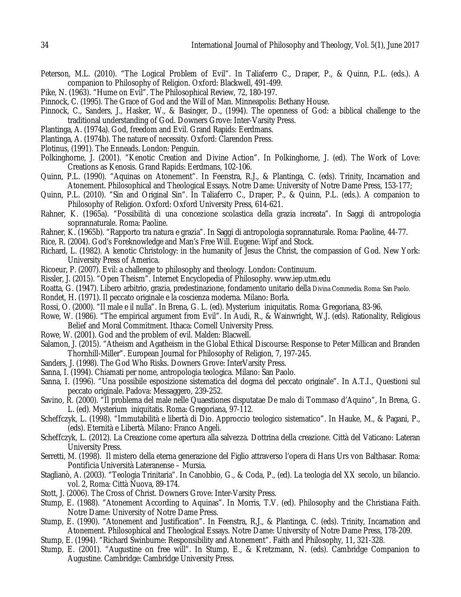- Peterson, M.L. (2010). "The Logical Problem of Evil". In Taliaferro C., Draper, P., & Quinn, P.L. (eds.). A companion to Philosophy of Religion. Oxford: Blackwell, 491-499.
- Pike, N. (1963). "Hume on Evil". The Philosophical Review, 72, 180-197.
- Pinnock, C. (1995). The Grace of God and the Will of Man. Minneapolis: Bethany House.
- Pinnock, C., Sanders, J., Hasker, W., & Basinger, D., (1994). The openness of God: a biblical challenge to the traditional understanding of God. Downers Grove: Inter-Varsity Press.
- Plantinga, A. (1974a). God, freedom and Evil. Grand Rapids: Eerdmans.
- Plantinga, A. (1974b). The nature of necessity. Oxford: Clarendon Press.
- Plotinus, (1991). The Enneads. London: Penguin.
- Polkinghorne, J. (2001). "Kenotic Creation and Divine Action". In Polkinghorne, J. (ed). The Work of Love: Creations as Kenosis. Grand Rapids: Eerdmans, 102-106.
- Quinn, P.L. (1990). "Aquinas on Atonement". In Feenstra, R.J., & Plantinga, C. (eds). Trinity, Incarnation and Atonement. Philosophical and Theological Essays. Notre Dame: University of Notre Dame Press, 153-177;
- Quinn, P.L. (2010). "Sin and Original Sin". In Taliaferro C., Draper, P., & Quinn, P.L. (eds.). A companion to Philosophy of Religion. Oxford: Oxford University Press, 614-621.
- Rahner, K. (1965a). "Possibilità di una concezione scolastica della grazia increata". In Saggi di antropologia soprannaturale. Roma: Paoline.
- Rahner, K. (1965b). "Rapporto tra natura e grazia". In Saggi di antropologia soprannaturale. Roma: Paoline, 44-77.
- Rice, R. (2004). God's Foreknowledge and Man's Free Will. Eugene: Wipf and Stock.
- Richard, L. (1982). A kenotic Christology: in the humanity of Jesus the Christ, the compassion of God. New York: University Press of America.
- Ricoeur, P. (2007). Evil: a challenge to philosophy and theology. London: Continuum.
- Rissler, J. (2015). "Open Theism". Internet Encyclopedia of Philosophy. www.iep.utm.edu
- Roatta, G. (1947). Libero arbitrio, grazia, predestinazione, fondamento unitario della Divina Commedia. Roma: San Paolo.
- Rondet, H. (1971). Il peccato originale e la coscienza moderna. Milano: Borla.
- Rossi, O. (2000). "Il male e il nulla". In Brena, G. L. (ed). Mysterium iniquitatis. Roma: Gregoriana, 83-96.
- Rowe, W. (1986). "The empirical argument from Evil". In Audi, R., & Wainwright, W.J. (eds). Rationality, Religious Belief and Moral Commitment. Ithaca: Cornell University Press.
- Rowe, W. (2001). God and the problem of evil. Malden: Blacwell.
- Salamon, J. (2015). "Atheism and Agatheism in the Global Ethical Discourse: Response to Peter Millican and Branden Thornhill-Miller". European Journal for Philosophy of Religion, 7, 197-245.
- Sanders, J. (1998). The God Who Risks. Downers Grove: InterVarsity Press.
- Sanna, I. (1994). Chiamati per nome, antropologia teologica. Milano: San Paolo.
- Sanna, I. (1996). "Una possibile esposizione sistematica del dogma del peccato originale". In A.T.I., Questioni sul peccato originale. Padova: Messaggero, 239-252.
- Savino, R. (2000). "Il problema del male nelle Quaestiones disputatae De malo di Tommaso d'Aquino", In Brena, G. L. (ed). Mysterium iniquitatis. Roma: Gregoriana, 97-112.
- Scheffczyk, L. (1998). "Immutabilità e libertà di Dio. Approccio teologico sistematico". In Hauke, M., & Pagani, P., (eds). Eternità e Libertà. Milano: Franco Angeli.
- Scheffczyk, L. (2012). La Creazione come apertura alla salvezza. Dottrina della creazione. Città del Vaticano: Lateran University Press.
- Serretti, M. (1998). Il mistero della eterna generazione del Figlio attraverso l'opera di Hans Urs von Balthasar. Roma: Pontificia Università Lateranense – Mursia.
- Staglianò, A. (2003). "Teologia Trinitaria". In Canobbio, G., & Coda, P., (ed). La teologia del XX secolo, un bilancio. vol. 2, Roma: Città Nuova, 89-174.
- Stott, J. (2006). The Cross of Christ. Downers Grove: Inter-Varsity Press.
- Stump, E. (1988). "Atonement According to Aquinas". In Morris, T.V. (ed). Philosophy and the Christiana Faith. Notre Dame: University of Notre Dame Press.
- Stump, E. (1990). "Atonement and Justification". In Feenstra, R.J., & Plantinga, C. (eds). Trinity, Incarnation and Atonement. Philosophical and Theological Essays. Notre Dame: University of Notre Dame Press, 178-209.
- Stump, E. (1994). "Richard Swinburne: Responsibility and Atonement". Faith and Philosophy, 11, 321-328.
- Stump, E. (2001). "Augustine on free will". In Stump, E., & Kretzmann, N. (eds). Cambridge Companion to Augustine. Cambridge: Cambridge University Press.